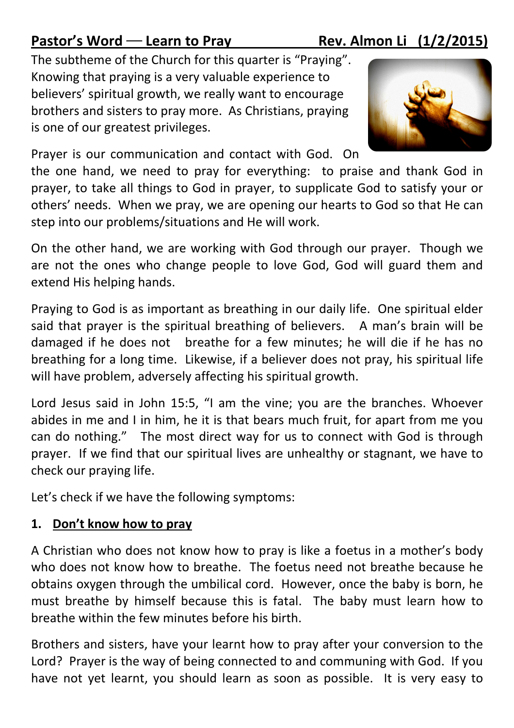## Pastor's Word — Learn to Pray Rev. Almon Li  $(1/2/2015)$

The subtheme of the Church for this quarter is "Praying". Knowing that praying is a very valuable experience to believers' spiritual growth, we really want to encourage brothers and sisters to pray more. As Christians, praying is one of our greatest privileges.



Prayer is our communication and contact with God. On

the one hand, we need to pray for everything: to praise and thank God in prayer, to take all things to God in prayer, to supplicate God to satisfy your or others' needs. When we pray, we are opening our hearts to God so that He can step into our problems/situations and He will work.

On the other hand, we are working with God through our prayer. Though we are not the ones who change people to love God, God will guard them and extend His helping hands.

Praying to God is as important as breathing in our daily life. One spiritual elder said that prayer is the spiritual breathing of believers. A man's brain will be damaged if he does not breathe for a few minutes; he will die if he has no breathing for a long time. Likewise, if a believer does not pray, his spiritual life will have problem, adversely affecting his spiritual growth.

Lord Jesus said in John 15:5, "I am the vine; you are the branches. Whoever abides in me and I in him, he it is that bears much fruit, for apart from me you can do nothing." The most direct way for us to connect with God is through prayer. If we find that our spiritual lives are unhealthy or stagnant, we have to check our praying life.

Let's check if we have the following symptoms:

## 1. Don't know how to pray

A Christian who does not know how to pray is like a foetus in a mother's body who does not know how to breathe. The foetus need not breathe because he obtains oxygen through the umbilical cord. However, once the baby is born, he must breathe by himself because this is fatal. The baby must learn how to breathe within the few minutes before his birth.

Brothers and sisters, have your learnt how to pray after your conversion to the Lord? Prayer is the way of being connected to and communing with God. If you have not yet learnt, you should learn as soon as possible. It is very easy to